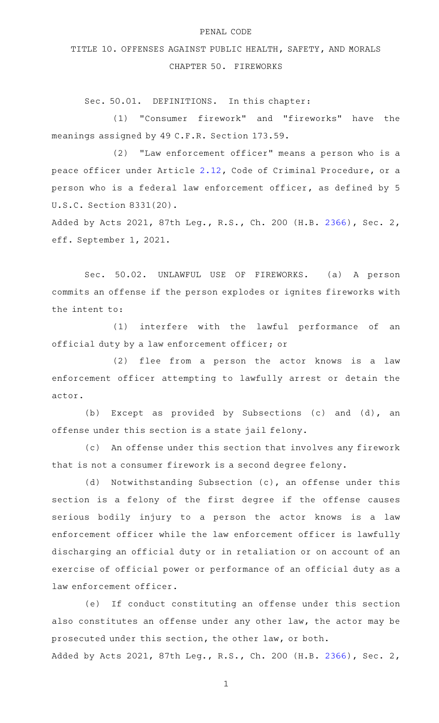## PENAL CODE

## TITLE 10. OFFENSES AGAINST PUBLIC HEALTH, SAFETY, AND MORALS CHAPTER 50. FIREWORKS

Sec. 50.01. DEFINITIONS. In this chapter:

(1) "Consumer firework" and "fireworks" have the meanings assigned by 49 C.F.R. Section 173.59.

(2) "Law enforcement officer" means a person who is a peace officer under Article [2.12,](http://www.statutes.legis.state.tx.us/GetStatute.aspx?Code=CR&Value=2.12) Code of Criminal Procedure, or a person who is a federal law enforcement officer, as defined by 5 U.S.C. Section 8331(20).

Added by Acts 2021, 87th Leg., R.S., Ch. 200 (H.B. [2366](http://www.legis.state.tx.us/tlodocs/87R/billtext/html/HB02366F.HTM)), Sec. 2, eff. September 1, 2021.

Sec. 50.02. UNLAWFUL USE OF FIREWORKS. (a) A person commits an offense if the person explodes or ignites fireworks with the intent to:

(1) interfere with the lawful performance of an official duty by a law enforcement officer; or

 $(2)$  flee from a person the actor knows is a law enforcement officer attempting to lawfully arrest or detain the actor.

(b) Except as provided by Subsections (c) and (d), an offense under this section is a state jail felony.

(c) An offense under this section that involves any firework that is not a consumer firework is a second degree felony.

(d) Notwithstanding Subsection (c), an offense under this section is a felony of the first degree if the offense causes serious bodily injury to a person the actor knows is a law enforcement officer while the law enforcement officer is lawfully discharging an official duty or in retaliation or on account of an exercise of official power or performance of an official duty as a law enforcement officer.

(e) If conduct constituting an offense under this section also constitutes an offense under any other law, the actor may be prosecuted under this section, the other law, or both. Added by Acts 2021, 87th Leg., R.S., Ch. 200 (H.B. [2366](http://www.legis.state.tx.us/tlodocs/87R/billtext/html/HB02366F.HTM)), Sec. 2,

1